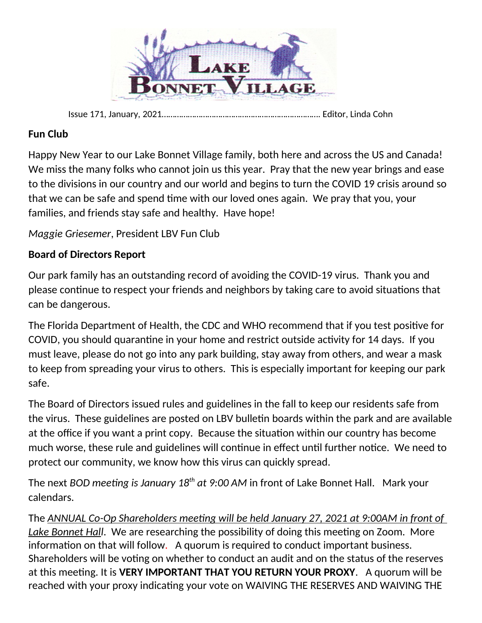

Issue 171, January, 2021………………………………………………………………. Editor, Linda Cohn

## **Fun Club**

Happy New Year to our Lake Bonnet Village family, both here and across the US and Canada! We miss the many folks who cannot join us this year. Pray that the new year brings and ease to the divisions in our country and our world and begins to turn the COVID 19 crisis around so that we can be safe and spend time with our loved ones again. We pray that you, your families, and friends stay safe and healthy. Have hope!

*Maggie Griesemer*, President LBV Fun Club

## **Board of Directors Report**

Our park family has an outstanding record of avoiding the COVID-19 virus. Thank you and please continue to respect your friends and neighbors by taking care to avoid situations that can be dangerous.

The Florida Department of Health, the CDC and WHO recommend that if you test positive for COVID, you should quarantine in your home and restrict outside activity for 14 days. If you must leave, please do not go into any park building, stay away from others, and wear a mask to keep from spreading your virus to others. This is especially important for keeping our park safe.

The Board of Directors issued rules and guidelines in the fall to keep our residents safe from the virus. These guidelines are posted on LBV bulletin boards within the park and are available at the office if you want a print copy. Because the situation within our country has become much worse, these rule and guidelines will continue in effect until further notice. We need to protect our community, we know how this virus can quickly spread.

The next *BOD meeting is January 18th at 9:00 AM* in front of Lake Bonnet Hall. Mark your calendars.

The *ANNUAL Co-Op Shareholders meeting will be held January 27, 2021 at 9:00AM in front of Lake Bonnet Hall*. We are researching the possibility of doing this meeting on Zoom. More information on that will follow. A quorum is required to conduct important business. Shareholders will be voting on whether to conduct an audit and on the status of the reserves at this meeting. It is **VERY IMPORTANT THAT YOU RETURN YOUR PROXY**. A quorum will be reached with your proxy indicating your vote on WAIVING THE RESERVES AND WAIVING THE